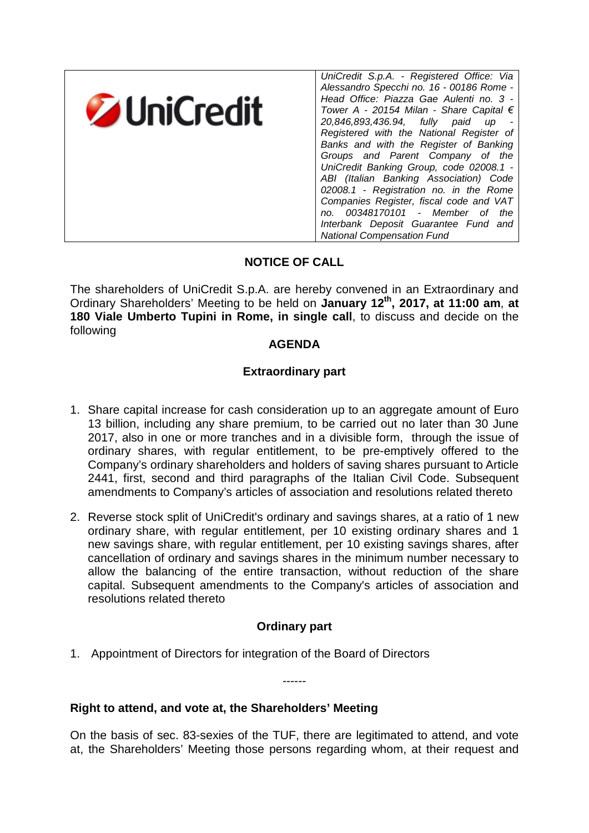

# **NOTICE OF CALL**

The shareholders of UniCredit S.p.A. are hereby convened in an Extraordinary and Ordinary Shareholders' Meeting to be held on **January 12th, 2017, at 11:00 am**, **at 180 Viale Umberto Tupini in Rome, in single call**, to discuss and decide on the following

### **AGENDA**

# **Extraordinary part**

- 1. Share capital increase for cash consideration up to an aggregate amount of Euro 13 billion, including any share premium, to be carried out no later than 30 June 2017, also in one or more tranches and in a divisible form, through the issue of ordinary shares, with regular entitlement, to be pre-emptively offered to the Company's ordinary shareholders and holders of saving shares pursuant to Article 2441, first, second and third paragraphs of the Italian Civil Code. Subsequent amendments to Company's articles of association and resolutions related thereto
- 2. Reverse stock split of UniCredit's ordinary and savings shares, at a ratio of 1 new ordinary share, with regular entitlement, per 10 existing ordinary shares and 1 new savings share, with regular entitlement, per 10 existing savings shares, after cancellation of ordinary and savings shares in the minimum number necessary to allow the balancing of the entire transaction, without reduction of the share capital. Subsequent amendments to the Company's articles of association and resolutions related thereto

# **Ordinary part**

------

1. Appointment of Directors for integration of the Board of Directors

**Right to attend, and vote at, the Shareholders' Meeting**

On the basis of sec. 83-sexies of the TUF, there are legitimated to attend, and vote at, the Shareholders' Meeting those persons regarding whom, at their request and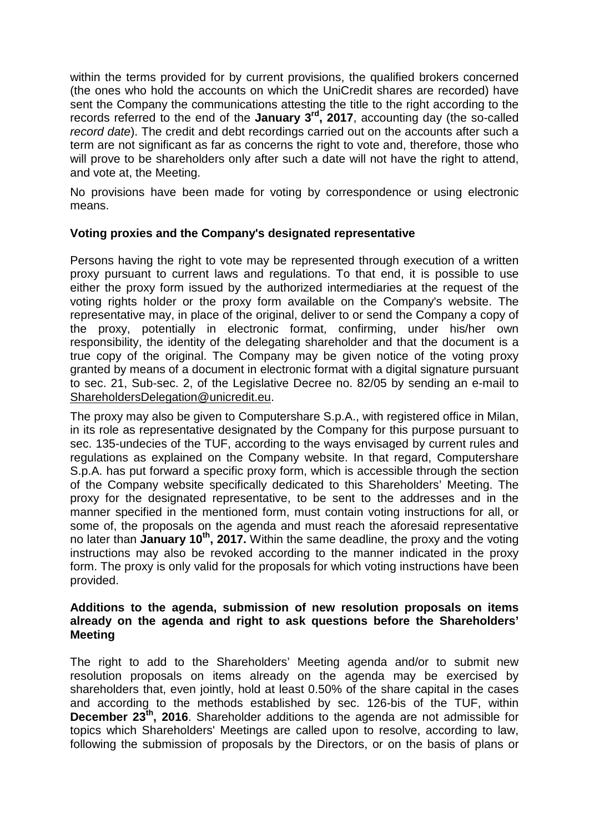within the terms provided for by current provisions, the qualified brokers concerned (the ones who hold the accounts on which the UniCredit shares are recorded) have sent the Company the communications attesting the title to the right according to the records referred to the end of the **January 3rd, 2017**, accounting day (the so-called *record date*). The credit and debt recordings carried out on the accounts after such a term are not significant as far as concerns the right to vote and, therefore, those who will prove to be shareholders only after such a date will not have the right to attend, and vote at, the Meeting.

No provisions have been made for voting by correspondence or using electronic means.

### **Voting proxies and the Company's designated representative**

Persons having the right to vote may be represented through execution of a written proxy pursuant to current laws and regulations. To that end, it is possible to use either the proxy form issued by the authorized intermediaries at the request of the voting rights holder or the proxy form available on the Company's website. The representative may, in place of the original, deliver to or send the Company a copy of the proxy, potentially in electronic format, confirming, under his/her own responsibility, the identity of the delegating shareholder and that the document is a true copy of the original. The Company may be given notice of the voting proxy granted by means of a document in electronic format with a digital signature pursuant to sec. 21, Sub-sec. 2, of the Legislative Decree no. 82/05 by sending an e-mail to ShareholdersDelegation@unicredit.eu.

The proxy may also be given to Computershare S.p.A., with registered office in Milan, in its role as representative designated by the Company for this purpose pursuant to sec. 135-undecies of the TUF, according to the ways envisaged by current rules and regulations as explained on the Company website. In that regard, Computershare S.p.A. has put forward a specific proxy form, which is accessible through the section of the Company website specifically dedicated to this Shareholders' Meeting. The proxy for the designated representative, to be sent to the addresses and in the manner specified in the mentioned form, must contain voting instructions for all, or some of, the proposals on the agenda and must reach the aforesaid representative no later than **January 10th, 2017.** Within the same deadline, the proxy and the voting instructions may also be revoked according to the manner indicated in the proxy form. The proxy is only valid for the proposals for which voting instructions have been provided.

#### **Additions to the agenda, submission of new resolution proposals on items already on the agenda and right to ask questions before the Shareholders' Meeting**

The right to add to the Shareholders' Meeting agenda and/or to submit new resolution proposals on items already on the agenda may be exercised by shareholders that, even jointly, hold at least 0.50% of the share capital in the cases and according to the methods established by sec. 126-bis of the TUF, within **December 23th, 2016**. Shareholder additions to the agenda are not admissible for topics which Shareholders' Meetings are called upon to resolve, according to law, following the submission of proposals by the Directors, or on the basis of plans or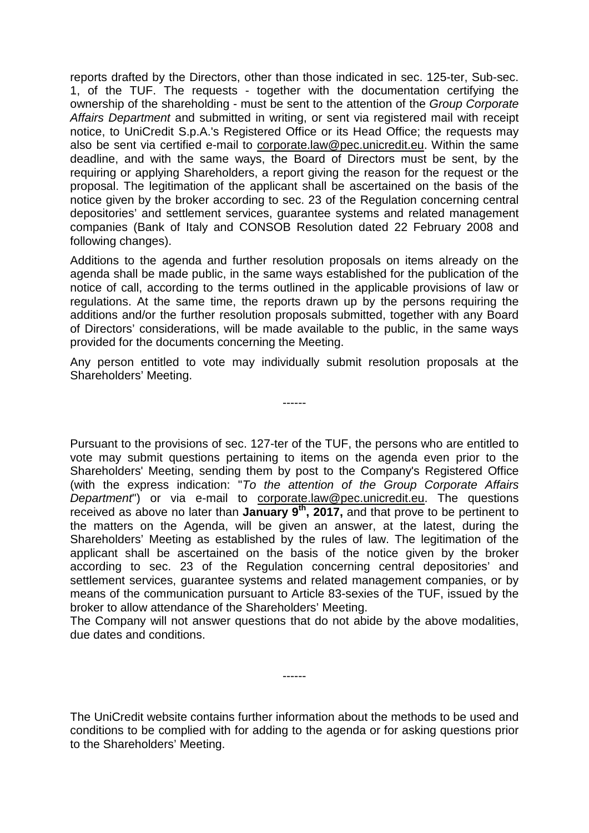reports drafted by the Directors, other than those indicated in sec. 125-ter, Sub-sec. 1, of the TUF. The requests - together with the documentation certifying the ownership of the shareholding - must be sent to the attention of the *Group Corporate Affairs Department* and submitted in writing, or sent via registered mail with receipt notice, to UniCredit S.p.A.'s Registered Office or its Head Office; the requests may also be sent via certified e-mail to corporate.law@pec.unicredit.eu. Within the same deadline, and with the same ways, the Board of Directors must be sent, by the requiring or applying Shareholders, a report giving the reason for the request or the proposal. The legitimation of the applicant shall be ascertained on the basis of the notice given by the broker according to sec. 23 of the Regulation concerning central depositories' and settlement services, guarantee systems and related management companies (Bank of Italy and CONSOB Resolution dated 22 February 2008 and following changes).

Additions to the agenda and further resolution proposals on items already on the agenda shall be made public, in the same ways established for the publication of the notice of call, according to the terms outlined in the applicable provisions of law or regulations. At the same time, the reports drawn up by the persons requiring the additions and/or the further resolution proposals submitted, together with any Board of Directors' considerations, will be made available to the public, in the same ways provided for the documents concerning the Meeting.

Any person entitled to vote may individually submit resolution proposals at the Shareholders' Meeting.

------

Pursuant to the provisions of sec. 127-ter of the TUF, the persons who are entitled to vote may submit questions pertaining to items on the agenda even prior to the Shareholders' Meeting, sending them by post to the Company's Registered Office (with the express indication: "*To the attention of the Group Corporate Affairs Department*") or via e-mail to corporate.law@pec.unicredit.eu. The questions received as above no later than **January 9th, 2017,** and that prove to be pertinent to the matters on the Agenda, will be given an answer, at the latest, during the Shareholders' Meeting as established by the rules of law. The legitimation of the applicant shall be ascertained on the basis of the notice given by the broker according to sec. 23 of the Regulation concerning central depositories' and settlement services, guarantee systems and related management companies, or by means of the communication pursuant to Article 83-sexies of the TUF, issued by the broker to allow attendance of the Shareholders' Meeting.

The Company will not answer questions that do not abide by the above modalities, due dates and conditions.

------

The UniCredit website contains further information about the methods to be used and conditions to be complied with for adding to the agenda or for asking questions prior to the Shareholders' Meeting.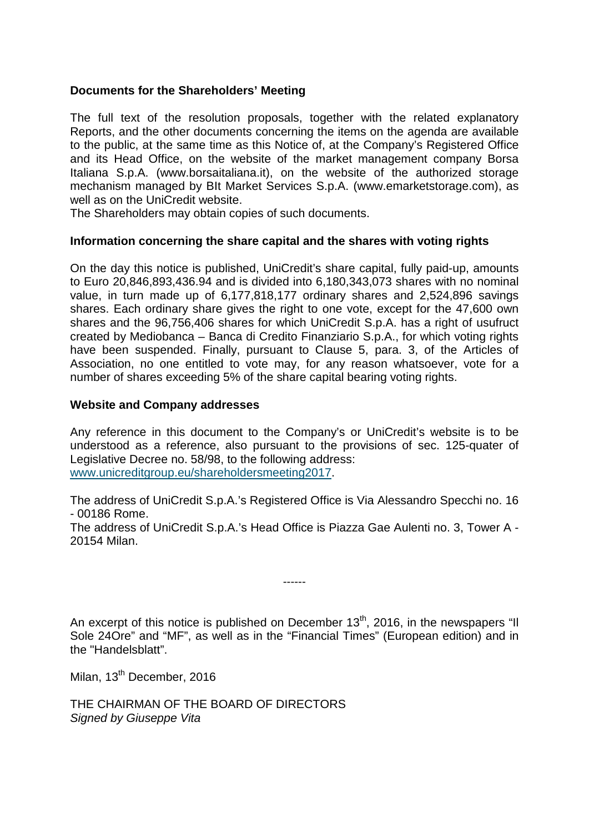### **Documents for the Shareholders' Meeting**

The full text of the resolution proposals, together with the related explanatory Reports, and the other documents concerning the items on the agenda are available to the public, at the same time as this Notice of, at the Company's Registered Office and its Head Office, on the website of the market management company Borsa Italiana S.p.A. (www.borsaitaliana.it), on the website of the authorized storage mechanism managed by BIt Market Services S.p.A. (www.emarketstorage.com), as well as on the UniCredit website.

The Shareholders may obtain copies of such documents.

#### **Information concerning the share capital and the shares with voting rights**

On the day this notice is published, UniCredit's share capital, fully paid-up, amounts to Euro 20,846,893,436.94 and is divided into 6,180,343,073 shares with no nominal value, in turn made up of 6,177,818,177 ordinary shares and 2,524,896 savings shares. Each ordinary share gives the right to one vote, except for the 47,600 own shares and the 96,756,406 shares for which UniCredit S.p.A. has a right of usufruct created by Mediobanca – Banca di Credito Finanziario S.p.A., for which voting rights have been suspended. Finally, pursuant to Clause 5, para. 3, of the Articles of Association, no one entitled to vote may, for any reason whatsoever, vote for a number of shares exceeding 5% of the share capital bearing voting rights.

#### **Website and Company addresses**

Any reference in this document to the Company's or UniCredit's website is to be understood as a reference, also pursuant to the provisions of sec. 125-quater of Legislative Decree no. 58/98, to the following address: www.unicreditgroup.eu/shareholdersmeeting2017.

The address of UniCredit S.p.A.'s Registered Office is Via Alessandro Specchi no. 16 - 00186 Rome.

The address of UniCredit S.p.A.'s Head Office is Piazza Gae Aulenti no. 3, Tower A - 20154 Milan.

------

An excerpt of this notice is published on December  $13<sup>th</sup>$ , 2016, in the newspapers "Il Sole 24Ore" and "MF", as well as in the "Financial Times" (European edition) and in the "Handelsblatt".

Milan, 13<sup>th</sup> December, 2016

THE CHAIRMAN OF THE BOARD OF DIRECTORS *Signed by Giuseppe Vita*